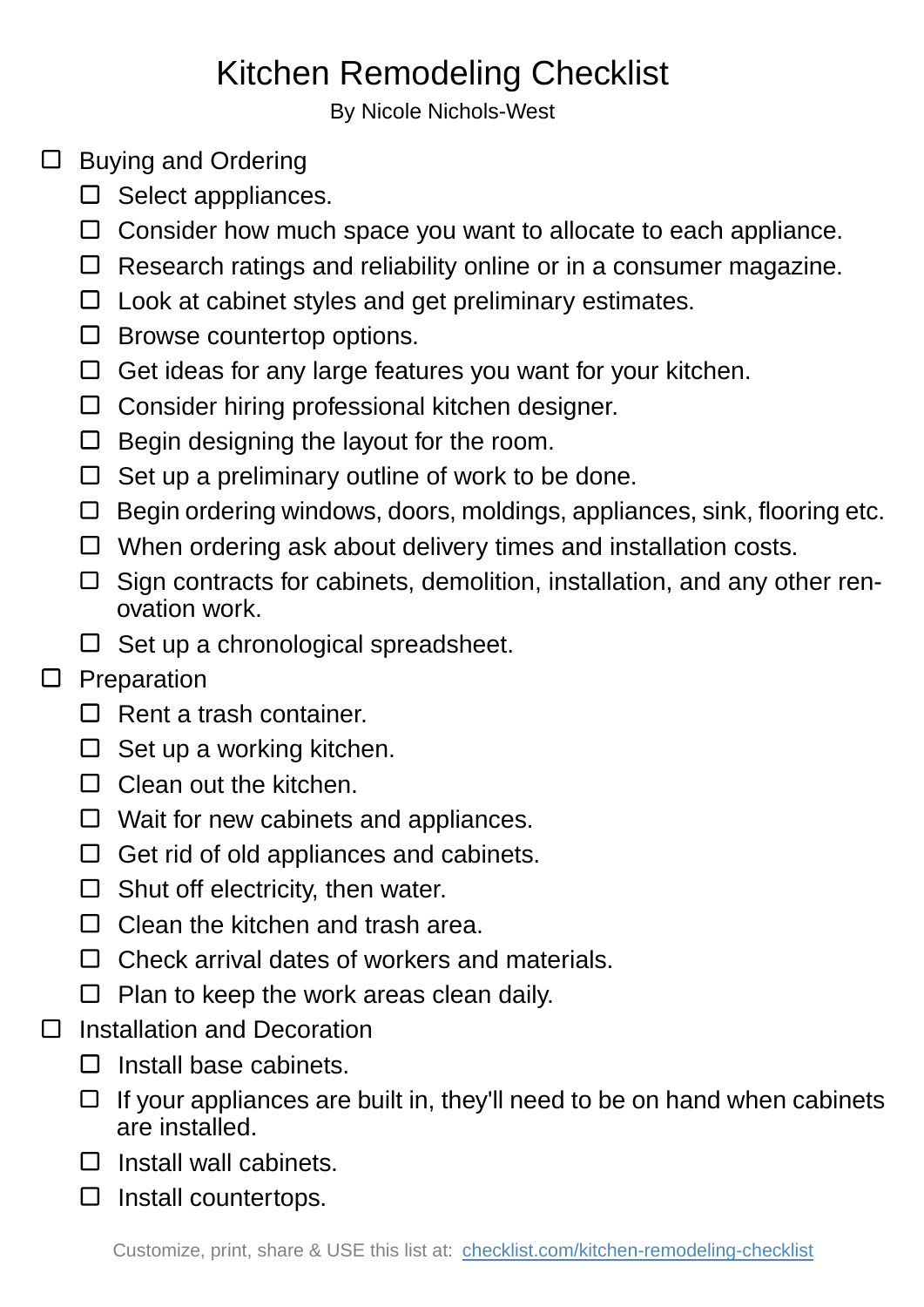## Kitchen Remodeling Checklist

By Nicole Nichols-West

## $\Box$  Buying and Ordering

- $\square$  Select apppliances.
- $\Box$  Consider how much space you want to allocate to each appliance.
- $\Box$  Research ratings and reliability online or in a consumer magazine.
- $\Box$  Look at cabinet styles and get preliminary estimates.
- $\square$  Browse countertop options.
- $\Box$  Get ideas for any large features you want for your kitchen.
- □ Consider hiring professional kitchen designer.
- $\Box$  Begin designing the layout for the room.
- $\Box$  Set up a preliminary outline of work to be done.
- $\Box$  Begin ordering windows, doors, moldings, appliances, sink, flooring etc.
- $\Box$  When ordering ask about delivery times and installation costs.
- $\Box$  Sign contracts for cabinets, demolition, installation, and any other renovation work.
- $\Box$  Set up a chronological spreadsheet.

## $\square$  Preparation

- $\Box$  Rent a trash container.
- $\Box$  Set up a working kitchen.
- $\Box$  Clean out the kitchen.
- $\Box$  Wait for new cabinets and appliances.
- $\Box$  Get rid of old appliances and cabinets.
- $\Box$  Shut off electricity, then water.
- $\Box$  Clean the kitchen and trash area.
- $\Box$  Check arrival dates of workers and materials.
- $\Box$  Plan to keep the work areas clean daily.
- Installation and Decoration  $\Box$ 
	- $\Box$  Install base cabinets.
	- $\Box$  If your appliances are built in, they'll need to be on hand when cabinets are installed.
	- $\Box$  Install wall cabinets.
	- $\square$  Install countertops.